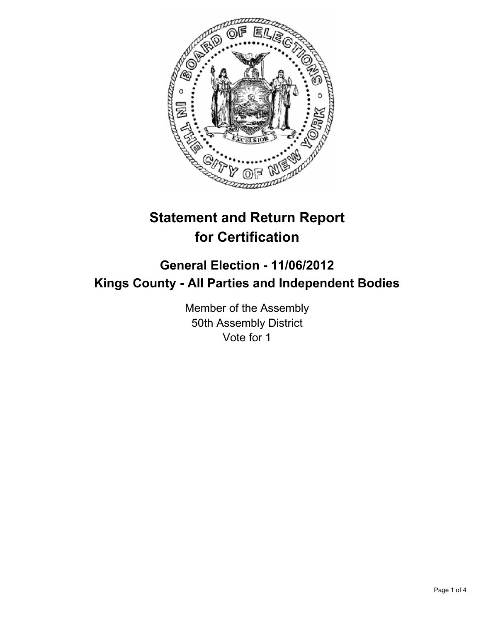

# **Statement and Return Report for Certification**

## **General Election - 11/06/2012 Kings County - All Parties and Independent Bodies**

Member of the Assembly 50th Assembly District Vote for 1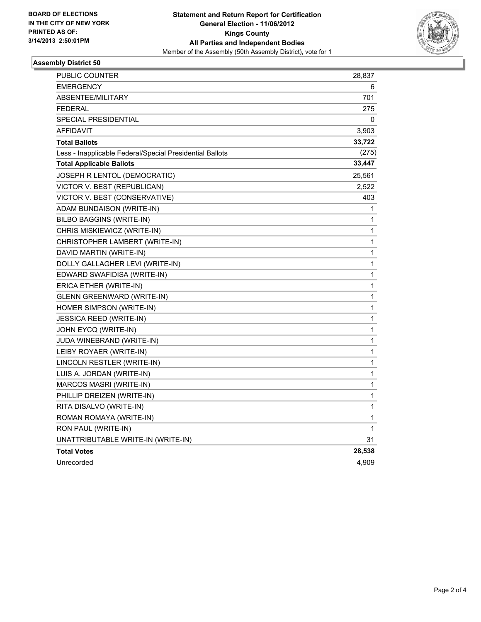

#### **Assembly District 50**

| PUBLIC COUNTER                                           | 28,837 |
|----------------------------------------------------------|--------|
| <b>EMERGENCY</b>                                         | 6      |
| ABSENTEE/MILITARY                                        | 701    |
| <b>FEDERAL</b>                                           | 275    |
| SPECIAL PRESIDENTIAL                                     | 0      |
| <b>AFFIDAVIT</b>                                         | 3,903  |
| <b>Total Ballots</b>                                     | 33,722 |
| Less - Inapplicable Federal/Special Presidential Ballots | (275)  |
| <b>Total Applicable Ballots</b>                          | 33,447 |
| JOSEPH R LENTOL (DEMOCRATIC)                             | 25,561 |
| VICTOR V. BEST (REPUBLICAN)                              | 2,522  |
| VICTOR V. BEST (CONSERVATIVE)                            | 403    |
| ADAM BUNDAISON (WRITE-IN)                                | 1      |
| BILBO BAGGINS (WRITE-IN)                                 | 1      |
| CHRIS MISKIEWICZ (WRITE-IN)                              | 1      |
| CHRISTOPHER LAMBERT (WRITE-IN)                           | 1      |
| DAVID MARTIN (WRITE-IN)                                  | 1      |
| DOLLY GALLAGHER LEVI (WRITE-IN)                          | 1      |
| EDWARD SWAFIDISA (WRITE-IN)                              | 1      |
| ERICA ETHER (WRITE-IN)                                   | 1      |
| GLENN GREENWARD (WRITE-IN)                               | 1      |
| HOMER SIMPSON (WRITE-IN)                                 | 1      |
| <b>JESSICA REED (WRITE-IN)</b>                           | 1      |
| JOHN EYCQ (WRITE-IN)                                     | 1      |
| <b>JUDA WINEBRAND (WRITE-IN)</b>                         | 1      |
| LEIBY ROYAER (WRITE-IN)                                  | 1      |
| LINCOLN RESTLER (WRITE-IN)                               | 1      |
| LUIS A. JORDAN (WRITE-IN)                                | 1      |
| MARCOS MASRI (WRITE-IN)                                  | 1      |
| PHILLIP DREIZEN (WRITE-IN)                               | 1      |
| RITA DISALVO (WRITE-IN)                                  | 1      |
| ROMAN ROMAYA (WRITE-IN)                                  | 1      |
| RON PAUL (WRITE-IN)                                      | 1      |
| UNATTRIBUTABLE WRITE-IN (WRITE-IN)                       | 31     |
| <b>Total Votes</b>                                       | 28,538 |
| Unrecorded                                               | 4,909  |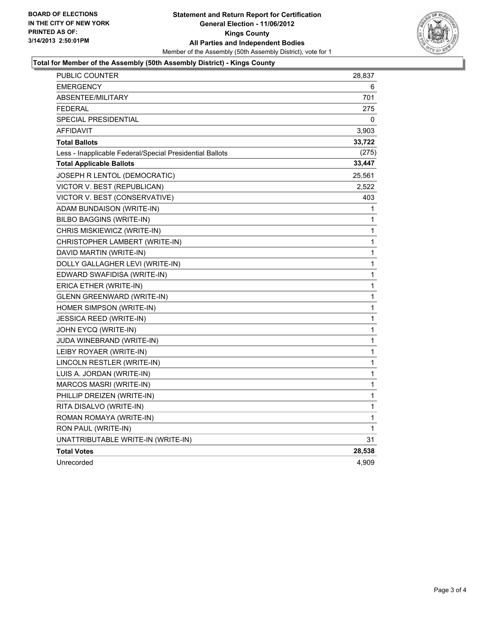

#### **Total for Member of the Assembly (50th Assembly District) - Kings County**

| PUBLIC COUNTER                                           | 28,837 |
|----------------------------------------------------------|--------|
| <b>EMERGENCY</b>                                         | 6      |
| ABSENTEE/MILITARY                                        | 701    |
| <b>FEDERAL</b>                                           | 275    |
| <b>SPECIAL PRESIDENTIAL</b>                              | 0      |
| <b>AFFIDAVIT</b>                                         | 3,903  |
| <b>Total Ballots</b>                                     | 33,722 |
| Less - Inapplicable Federal/Special Presidential Ballots | (275)  |
| <b>Total Applicable Ballots</b>                          | 33,447 |
| JOSEPH R LENTOL (DEMOCRATIC)                             | 25,561 |
| VICTOR V. BEST (REPUBLICAN)                              | 2,522  |
| VICTOR V. BEST (CONSERVATIVE)                            | 403    |
| ADAM BUNDAISON (WRITE-IN)                                | 1      |
| BILBO BAGGINS (WRITE-IN)                                 | 1      |
| CHRIS MISKIEWICZ (WRITE-IN)                              | 1      |
| CHRISTOPHER LAMBERT (WRITE-IN)                           | 1      |
| DAVID MARTIN (WRITE-IN)                                  | 1      |
| DOLLY GALLAGHER LEVI (WRITE-IN)                          | 1      |
| EDWARD SWAFIDISA (WRITE-IN)                              | 1      |
| ERICA ETHER (WRITE-IN)                                   | 1      |
| GLENN GREENWARD (WRITE-IN)                               | 1      |
| HOMER SIMPSON (WRITE-IN)                                 | 1      |
| JESSICA REED (WRITE-IN)                                  | 1      |
| JOHN EYCQ (WRITE-IN)                                     | 1      |
| JUDA WINEBRAND (WRITE-IN)                                | 1      |
| LEIBY ROYAER (WRITE-IN)                                  | 1      |
| LINCOLN RESTLER (WRITE-IN)                               | 1      |
| LUIS A. JORDAN (WRITE-IN)                                | 1      |
| MARCOS MASRI (WRITE-IN)                                  | 1      |
| PHILLIP DREIZEN (WRITE-IN)                               | 1      |
| RITA DISALVO (WRITE-IN)                                  | 1      |
| ROMAN ROMAYA (WRITE-IN)                                  | 1      |
| RON PAUL (WRITE-IN)                                      | 1      |
| UNATTRIBUTABLE WRITE-IN (WRITE-IN)                       | 31     |
| <b>Total Votes</b>                                       | 28,538 |
| Unrecorded                                               | 4.909  |